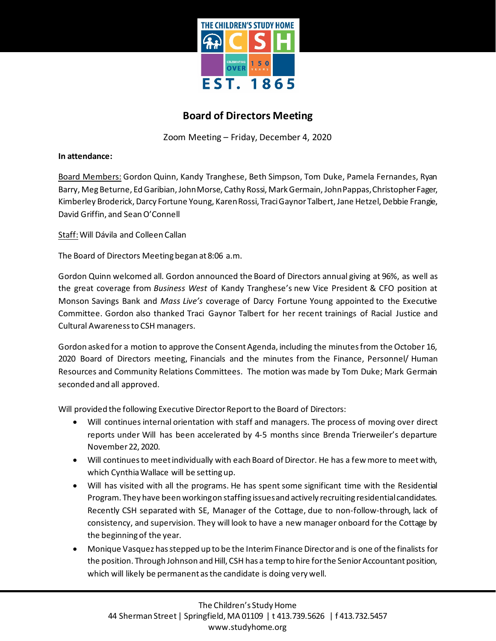

## **Board of Directors Meeting**

Zoom Meeting – Friday, December 4, 2020

**In attendance:**

Board Members: Gordon Quinn, Kandy Tranghese, Beth Simpson, Tom Duke, Pamela Fernandes, Ryan Barry, Meg Beturne, Ed Garibian, John Morse, Cathy Rossi, Mark Germain, John Pappas, Christopher Fager, Kimberley Broderick, Darcy Fortune Young, Karen Rossi, TraciGaynorTalbert, Jane Hetzel, Debbie Frangie, David Griffin, and Sean O'Connell

Staff: Will Dávila and Colleen Callan

The Board of Directors Meeting began at 8:06 a.m.

Gordon Quinn welcomed all. Gordon announced the Board of Directors annual giving at 96%, as well as the great coverage from *Business West* of Kandy Tranghese's new Vice President & CFO position at Monson Savings Bank and *Mass Live's* coverage of Darcy Fortune Young appointed to the Executive Committee. Gordon also thanked Traci Gaynor Talbert for her recent trainings of Racial Justice and Cultural Awareness to CSH managers.

Gordon asked for a motion to approve the Consent Agenda, including the minutes from the October 16, 2020 Board of Directors meeting, Financials and the minutes from the Finance, Personnel/ Human Resources and Community Relations Committees. The motion was made by Tom Duke; Mark Germain seconded and all approved.

Will provided the following Executive Director Report to the Board of Directors:

- Will continues internal orientation with staff and managers. The process of moving over direct reports under Will has been accelerated by 4-5 months since Brenda Trierweiler's departure November 22, 2020.
- Will continues to meet individually with each Board of Director. He has a few more to meet with, which Cynthia Wallace will be setting up.
- Will has visited with all the programs. He has spent some significant time with the Residential Program. They have been working on staffing issues and actively recruiting residential candidates. Recently CSH separated with SE, Manager of the Cottage, due to non-follow-through, lack of consistency, and supervision. They will look to have a new manager onboard for the Cottage by the beginning of the year.
- Monique Vasquez has stepped up to be the Interim Finance Director and is one of the finalists for the position. Through Johnson and Hill, CSH has a temp to hire for the Senior Accountant position, which will likely be permanent as the candidate is doing very well.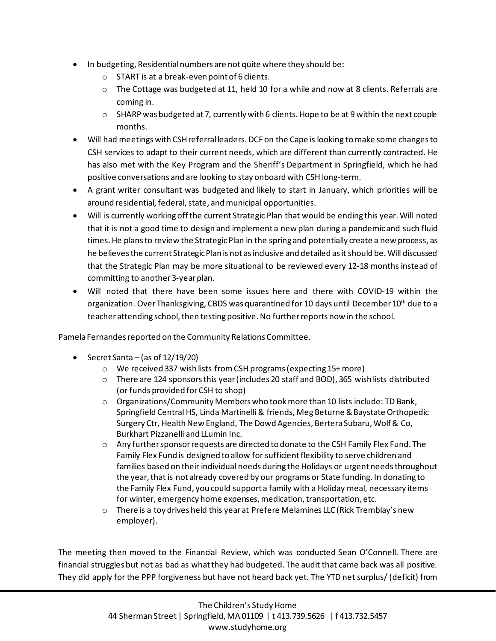- In budgeting, Residential numbers are not quite where they should be:
	- o START is at a break-even point of 6 clients.
	- $\circ$  The Cottage was budgeted at 11, held 10 for a while and now at 8 clients. Referrals are coming in.
	- $\circ$  SHARP was budgeted at 7, currently with 6 clients. Hope to be at 9 within the next couple months.
- Will had meetings with CSH referral leaders. DCF on the Cape is looking to make some changes to CSH services to adapt to their current needs, which are different than currently contracted. He has also met with the Key Program and the Sheriff's Department in Springfield, which he had positive conversations and are looking to stay onboard with CSH long-term.
- A grant writer consultant was budgeted and likely to start in January, which priorities will be around residential, federal, state, and municipal opportunities.
- Will is currently working off the current Strategic Plan that would be ending this year. Will noted that it is not a good time to design and implement a new plan during a pandemic and such fluid times. He plans to review the Strategic Plan in the spring and potentially create a new process, as he believes the current Strategic Plan is not as inclusive and detailed as it should be. Will discussed that the Strategic Plan may be more situational to be reviewed every 12-18 months instead of committing to another 3-year plan.
- Will noted that there have been some issues here and there with COVID-19 within the organization. Over Thanksgiving, CBDS was quarantined for 10 days until December 10<sup>th</sup> due to a teacher attending school, then testing positive. No further reports now in the school.

Pamela Fernandes reported on the Community Relations Committee.

- Secret Santa (as of 12/19/20)
	- o We received 337 wish lists from CSH programs(expecting 15+ more)
	- o There are 124 sponsors this year (includes 20 staff and BOD), 365 wish lists distributed (or funds provided for CSH to shop)
	- $\circ$  Organizations/Community Members who took more than 10 lists include: TD Bank, Springfield Central HS, Linda Martinelli & friends, Meg Beturne & Baystate Orthopedic Surgery Ctr, Health New England, The Dowd Agencies, Bertera Subaru, Wolf & Co, Burkhart Pizzanelli and LLumin Inc.
	- o Any further sponsor requests are directed to donate to the CSH Family Flex Fund. The Family Flex Fund is designed to allow for sufficient flexibility to serve children and families based on their individual needs during the Holidays or urgent needs throughout the year, that is not already covered by our programs or State funding. In donating to the Family Flex Fund, you could support a family with a Holiday meal, necessary items for winter, emergency home expenses, medication, transportation, etc.
	- $\circ$  There is a toy drives held this year at Prefere Melamines LLC (Rick Tremblay's new employer).

The meeting then moved to the Financial Review, which was conducted Sean O'Connell. There are financial struggles but not as bad as what they had budgeted. The audit that came back was all positive. They did apply for the PPP forgiveness but have not heard back yet. The YTD net surplus/ (deficit) from